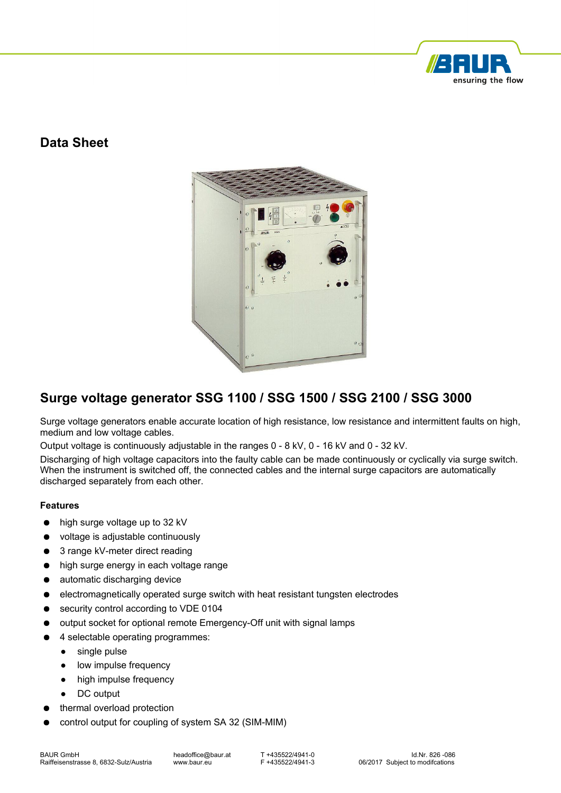

### **Data Sheet**



# **Surge voltage generator SSG 1100 / SSG 1500 / SSG 2100 / SSG 3000**

Surge voltage generators enable accurate location of high resistance, low resistance and intermittent faults on high, medium and low voltage cables.

Output voltage is continuously adjustable in the ranges 0 - 8 kV, 0 - 16 kV and 0 - 32 kV.

Discharging of high voltage capacitors into the faulty cable can be made continuously or cyclically via surge switch. When the instrument is switched off, the connected cables and the internal surge capacitors are automatically discharged separately from each other.

#### **Features**

- high surge voltage up to 32 kV
- voltage is adjustable continuously
- 3 range kV-meter direct reading
- high surge energy in each voltage range
- automatic discharging device
- electromagnetically operated surge switch with heat resistant tungsten electrodes
- security control according to VDE 0104
- output socket for optional remote Emergency-Off unit with signal lamps
- 4 selectable operating programmes:
	- single pulse
	- low impulse frequency
	- high impulse frequency
	- DC output
- thermal overload protection
- control output for coupling of system SA 32 (SIM-MIM)